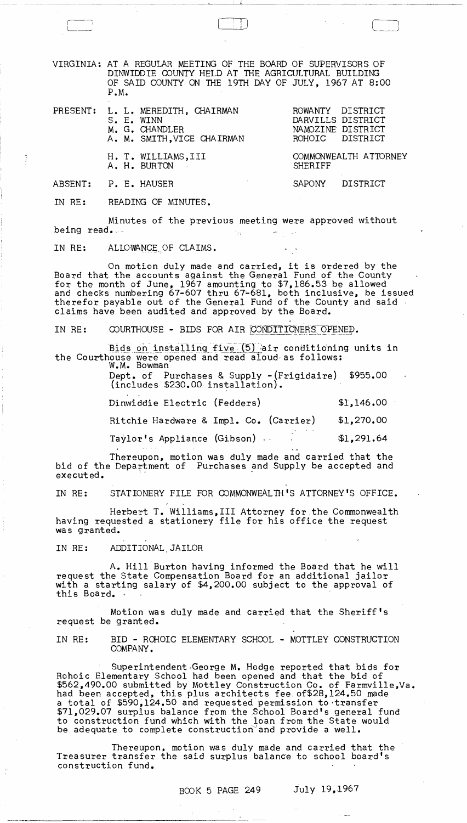VIRGINIA: AT A REGULAR MEETING OF THE BOARD OF SUPERVISORS OF DINWIDDIE COUNTY HELD AT THE AGRICULTURAL BUILDING OF SAID COUNTY ON THE 19TH DAY OF JULY, 1967 AT 8:00 P.M.

 $\begin{array}{|c|} \hline \hline \hline \end{array}$ 

Ť

---- -- ---------------------- ~~

PRESENT: L. L. MEREDITH, CHAIRMAN ROWANTY DISTRICT S. E. WINN CHAIRMAN DARVILLS DISTRICT S. E. WINN DARVILLS DISTRICT M. G. CHANDLER NAMOZINE DISTRICT

A. M. SMITH, VICE CHAIRMAN

A. H. BURTON

H. T. WILLIAMS, III COMMONWEALTH ATTORNEY<br>A. H. BURTON SHERIFF

NAMOZINE DISTRICT<br>ROHOIC DISTRICT

ABSENT: P. E. HAUSER SAPONY DISTRICT

IN RE: READING OF MINUTES.

Minutes of the previous meeting were approved without being read.

## IN RE: ALLOWANCE OF CLAIMS.

On motion duly made and carried, it is ordered by the Board that the accounts against the General Fund of the County for the month of June, 1967 amounting to \$7,186.53 be allowed and checks numbering 67-607 thru 67-681, both inclusive, be issued therefor payable out of the General Fund of the County and said . claims have been audited and approved by the Board.

IN RE: COURTHOUSE - BIDS FOR AIR CONDITIONERS OPENED.

Bids on installing five (5) air conditioning units in the Courthouse were opened and read aloud as follows: W.M. Bowman

Dept. of Purchases & Supply -(Frigidaire) \$955.00 (includes \$230.00- installation). -

Dinwiddie Electric (Fedders) \$1,146.00

Ritchie Hardware & Impl. Co. (Carrier) \$1,270.00

Taylor's Appliance (Gibson) .. :\$1,291.64

Thereupon, motion was duly made and carried that the bid of the Department of Purchases and Supply be accepted and executed.

IN RE: STATIONERY FILE FOR COMMONWEALTH'S ATTORNEY'S OFFICE.

Herbert T. Williams,III Attorney for the Commonwealth having requested a stationery file for his office the request was granted.

IN RE: ADDITIONAL, JAILOR

A. Hill Burton having informed the Board that he will<br>request the State Compensation Board for an additional jailor with a starting salary of \$4,200.00 subject to the approval of this Board. .

Motion was duly made and carried that the Sheriff's request be granted.

IN RE: BID - ROHOIC ELEMENTARY SCHOOL - MOTTLEY CONSTRUCTION COMPANY.

Superintendent·George M. Hodge reported that bids for Rohoic Elementary School had been opened and that the bid of \$562,490.00 submitted by Mottley Construction Co. of Farmville,Va. had been accepted, this plus architects fee. of \$28,124.50 made a total of \$590,124.50 and requested permission to 'transfer \$71,029.07 surplus balance from the School Board's general fund to construction fund which with the loan from the State would be adequate to complete construction and provide a well.

Thereupon, motion was duly made and carried that the Treasurer transfer the said surplus balance to school board's construction fund.